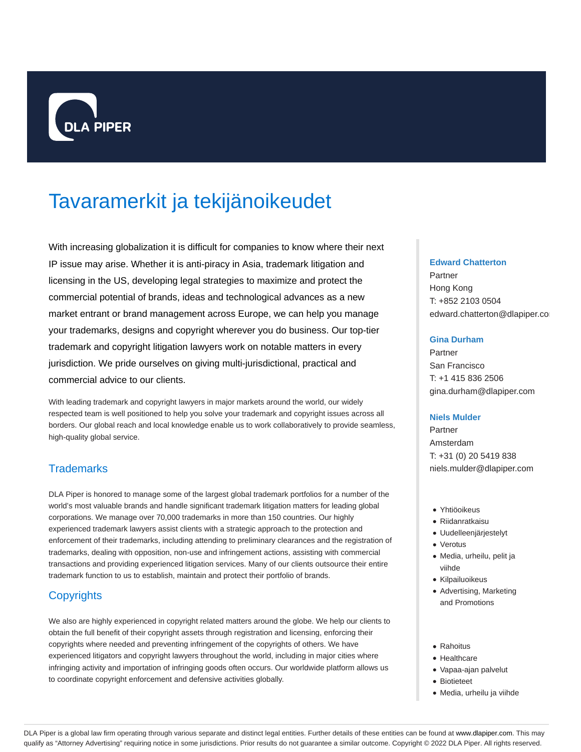

# Tavaramerkit ja tekijänoikeudet

With increasing globalization it is difficult for companies to know where their next IP issue may arise. Whether it is anti-piracy in Asia, trademark litigation and licensing in the US, developing legal strategies to maximize and protect the commercial potential of brands, ideas and technological advances as a new market entrant or brand management across Europe, we can help you manage your trademarks, designs and copyright wherever you do business. Our top-tier trademark and copyright litigation lawyers work on notable matters in every jurisdiction. We pride ourselves on giving multi-jurisdictional, practical and commercial advice to our clients.

With leading trademark and copyright lawyers in major markets around the world, our widely respected team is well positioned to help you solve your trademark and copyright issues across all borders. Our global reach and local knowledge enable us to work collaboratively to provide seamless, high-quality global service.

# **Trademarks**

DLA Piper is honored to manage some of the largest global trademark portfolios for a number of the world's most valuable brands and handle significant trademark litigation matters for leading global corporations. We manage over 70,000 trademarks in more than 150 countries. Our highly experienced trademark lawyers assist clients with a strategic approach to the protection and enforcement of their trademarks, including attending to preliminary clearances and the registration of trademarks, dealing with opposition, non-use and infringement actions, assisting with commercial transactions and providing experienced litigation services. Many of our clients outsource their entire trademark function to us to establish, maintain and protect their portfolio of brands.

# **Copyrights**

We also are highly experienced in copyright related matters around the globe. We help our clients to obtain the full benefit of their copyright assets through registration and licensing, enforcing their copyrights where needed and preventing infringement of the copyrights of others. We have experienced litigators and copyright lawyers throughout the world, including in major cities where infringing activity and importation of infringing goods often occurs. Our worldwide platform allows us to coordinate copyright enforcement and defensive activities globally.

### **Edward Chatterton**

Partner Hong Kong T: +852 2103 0504 edward.chatterton@dlapiper.co

### **Gina Durham**

Partner San Francisco T: +1 415 836 2506 gina.durham@dlapiper.com

### **Niels Mulder**

Partner Amsterdam T: +31 (0) 20 5419 838 niels.mulder@dlapiper.com

- Yhtiöoikeus
- Riidanratkaisu
- Uudelleenjärjestelyt
- Verotus
- Media, urheilu, pelit ja viihde
- Kilpailuoikeus
- Advertising, Marketing and Promotions
- Rahoitus
- Healthcare
- Vapaa-ajan palvelut
- Biotieteet
- Media, urheilu ja viihde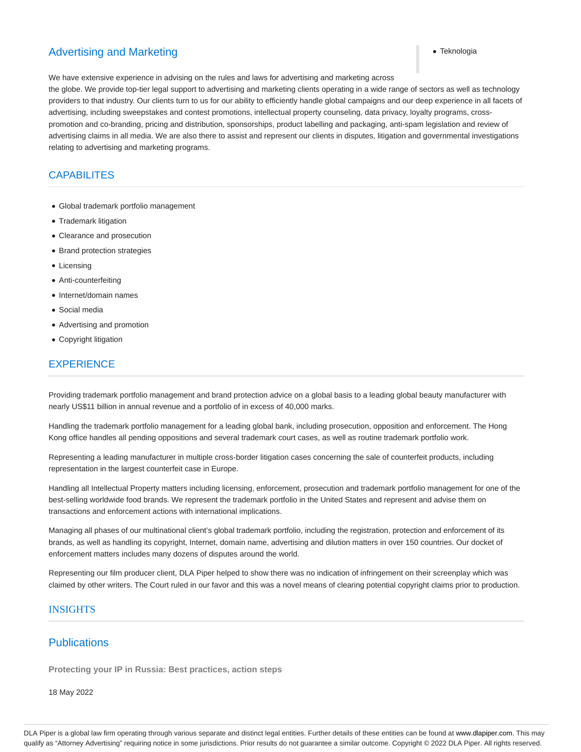# Advertising and Marketing Text and Marketing Text and Text and Text and Text and Text and Text and Text and Text and Text and Text and Text and Text and Text and Text and Text and Text and Text and Text and Text and Text a

We have extensive experience in advising on the rules and laws for advertising and marketing across

the globe. We provide top-tier legal support to advertising and marketing clients operating in a wide range of sectors as well as technology providers to that industry. Our clients turn to us for our ability to efficiently handle global campaigns and our deep experience in all facets of advertising, including sweepstakes and contest promotions, intellectual property counseling, data privacy, loyalty programs, crosspromotion and co-branding, pricing and distribution, sponsorships, product labelling and packaging, anti-spam legislation and review of advertising claims in all media. We are also there to assist and represent our clients in disputes, litigation and governmental investigations relating to advertising and marketing programs.

# **CAPABILITES**

- Global trademark portfolio management
- Trademark litigation
- Clearance and prosecution
- Brand protection strategies
- Licensing
- Anti-counterfeiting
- Internet/domain names
- Social media
- Advertising and promotion
- Copyright litigation

# EXPERIENCE

Providing trademark portfolio management and brand protection advice on a global basis to a leading global beauty manufacturer with nearly US\$11 billion in annual revenue and a portfolio of in excess of 40,000 marks.

Handling the trademark portfolio management for a leading global bank, including prosecution, opposition and enforcement. The Hong Kong office handles all pending oppositions and several trademark court cases, as well as routine trademark portfolio work.

Representing a leading manufacturer in multiple cross-border litigation cases concerning the sale of counterfeit products, including representation in the largest counterfeit case in Europe.

Handling all Intellectual Property matters including licensing, enforcement, prosecution and trademark portfolio management for one of the best-selling worldwide food brands. We represent the trademark portfolio in the United States and represent and advise them on transactions and enforcement actions with international implications.

Managing all phases of our multinational client's global trademark portfolio, including the registration, protection and enforcement of its brands, as well as handling its copyright, Internet, domain name, advertising and dilution matters in over 150 countries. Our docket of enforcement matters includes many dozens of disputes around the world.

Representing our film producer client, DLA Piper helped to show there was no indication of infringement on their screenplay which was claimed by other writers. The Court ruled in our favor and this was a novel means of clearing potential copyright claims prior to production.

# INSIGHTS

# **Publications**

**Protecting your IP in Russia: Best practices, action steps**

18 May 2022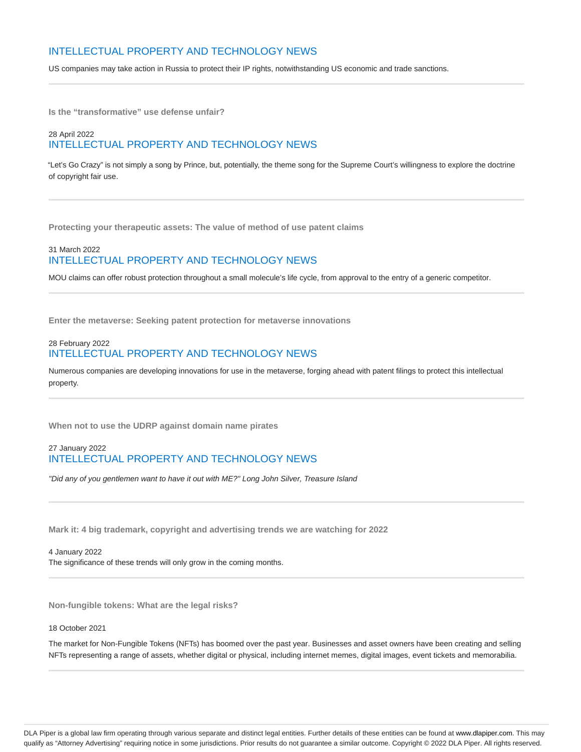# INTELLECTUAL PROPERTY AND TECHNOLOGY NEWS

US companies may take action in Russia to protect their IP rights, notwithstanding US economic and trade sanctions.

**Is the "transformative" use defense unfair?**

## 28 April 2022 INTELLECTUAL PROPERTY AND TECHNOLOGY NEWS

"Let's Go Crazy" is not simply a song by Prince, but, potentially, the theme song for the Supreme Court's willingness to explore the doctrine of copyright fair use.

**Protecting your therapeutic assets: The value of method of use patent claims**

## 31 March 2022 INTELLECTUAL PROPERTY AND TECHNOLOGY NEWS

MOU claims can offer robust protection throughout a small molecule's life cycle, from approval to the entry of a generic competitor.

**Enter the metaverse: Seeking patent protection for metaverse innovations**

### 28 February 2022 INTELLECTUAL PROPERTY AND TECHNOLOGY NEWS

Numerous companies are developing innovations for use in the metaverse, forging ahead with patent filings to protect this intellectual property.

**When not to use the UDRP against domain name pirates**

### 27 January 2022 INTELLECTUAL PROPERTY AND TECHNOLOGY NEWS

"Did any of you gentlemen want to have it out with ME?" Long John Silver, Treasure Island

**Mark it: 4 big trademark, copyright and advertising trends we are watching for 2022**

4 January 2022 The significance of these trends will only grow in the coming months.

**Non-fungible tokens: What are the legal risks?**

18 October 2021

The market for Non-Fungible Tokens (NFTs) has boomed over the past year. Businesses and asset owners have been creating and selling NFTs representing a range of assets, whether digital or physical, including internet memes, digital images, event tickets and memorabilia.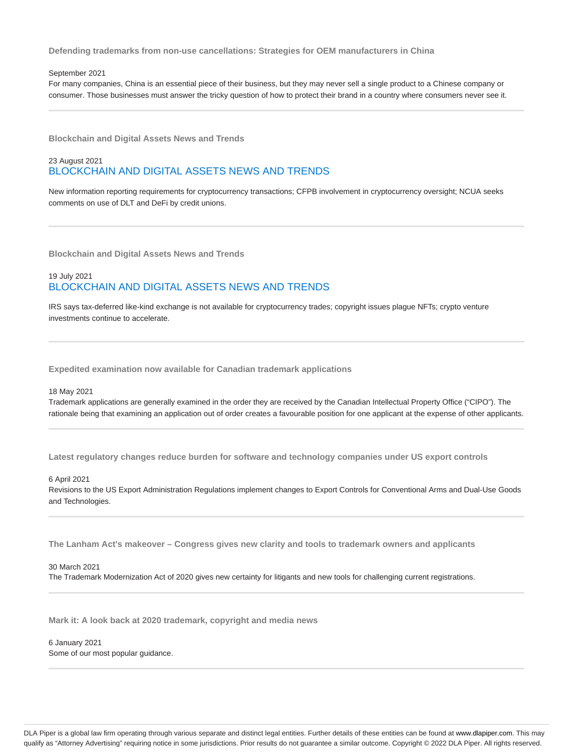**Defending trademarks from non-use cancellations: Strategies for OEM manufacturers in China**

### September 2021

For many companies, China is an essential piece of their business, but they may never sell a single product to a Chinese company or consumer. Those businesses must answer the tricky question of how to protect their brand in a country where consumers never see it.

**Blockchain and Digital Assets News and Trends**

### 23 August 2021 BLOCKCHAIN AND DIGITAL ASSETS NEWS AND TRENDS

New information reporting requirements for cryptocurrency transactions; CFPB involvement in cryptocurrency oversight; NCUA seeks comments on use of DLT and DeFi by credit unions.

**Blockchain and Digital Assets News and Trends**

## 19 July 2021 BLOCKCHAIN AND DIGITAL ASSETS NEWS AND TRENDS

IRS says tax-deferred like-kind exchange is not available for cryptocurrency trades; copyright issues plague NFTs; crypto venture investments continue to accelerate.

**Expedited examination now available for Canadian trademark applications**

### 18 May 2021

Trademark applications are generally examined in the order they are received by the Canadian Intellectual Property Office ("CIPO"). The rationale being that examining an application out of order creates a favourable position for one applicant at the expense of other applicants.

**Latest regulatory changes reduce burden for software and technology companies under US export controls**

#### 6 April 2021

Revisions to the US Export Administration Regulations implement changes to Export Controls for Conventional Arms and Dual-Use Goods and Technologies.

**The Lanham Act's makeover – Congress gives new clarity and tools to trademark owners and applicants**

### 30 March 2021

The Trademark Modernization Act of 2020 gives new certainty for litigants and new tools for challenging current registrations.

**Mark it: A look back at 2020 trademark, copyright and media news**

6 January 2021 Some of our most popular guidance.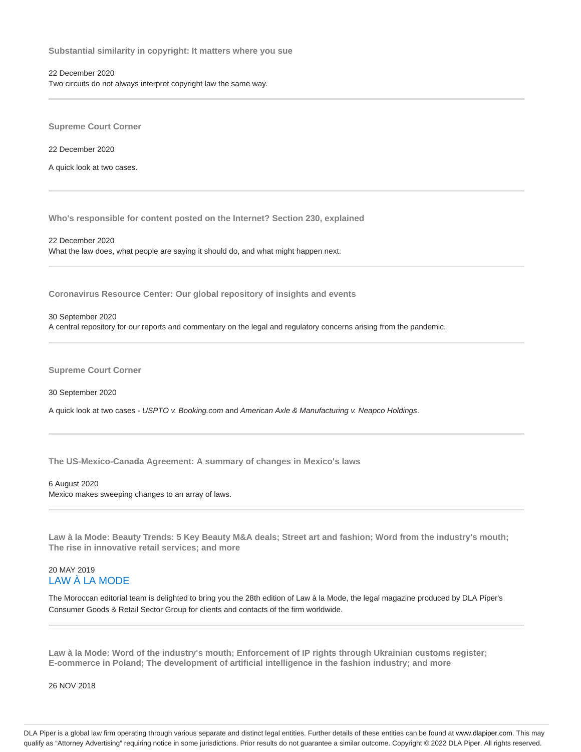**Substantial similarity in copyright: It matters where you sue**

### 22 December 2020

Two circuits do not always interpret copyright law the same way.

**Supreme Court Corner**

22 December 2020

A quick look at two cases.

**Who's responsible for content posted on the Internet? Section 230, explained**

22 December 2020 What the law does, what people are saying it should do, and what might happen next.

**Coronavirus Resource Center: Our global repository of insights and events**

30 September 2020

A central repository for our reports and commentary on the legal and regulatory concerns arising from the pandemic.

**Supreme Court Corner**

30 September 2020

A quick look at two cases - USPTO v. Booking.com and American Axle & Manufacturing v. Neapco Holdings.

**The US-Mexico-Canada Agreement: A summary of changes in Mexico's laws**

6 August 2020 Mexico makes sweeping changes to an array of laws.

**Law à la Mode: Beauty Trends: 5 Key Beauty M&A deals; Street art and fashion; Word from the industry's mouth; The rise in innovative retail services; and more**

### 20 MAY 2019 LAW À LA MODE

The Moroccan editorial team is delighted to bring you the 28th edition of Law à la Mode, the legal magazine produced by DLA Piper's Consumer Goods & Retail Sector Group for clients and contacts of the firm worldwide.

**Law à la Mode: Word of the industry's mouth; Enforcement of IP rights through Ukrainian customs register; E-commerce in Poland; The development of artificial intelligence in the fashion industry; and more**

26 NOV 2018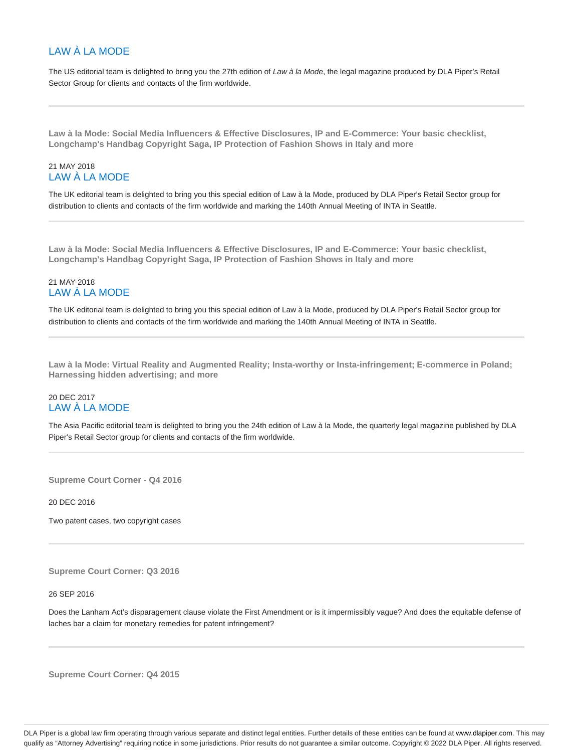# LAW À LA MODE

The US editorial team is delighted to bring you the 27th edition of Law à la Mode, the legal magazine produced by DLA Piper's Retail Sector Group for clients and contacts of the firm worldwide.

**Law à la Mode: Social Media Influencers & Effective Disclosures, IP and E-Commerce: Your basic checklist, Longchamp's Handbag Copyright Saga, IP Protection of Fashion Shows in Italy and more**

# 21 MAY 2018 LAW À LA MODE

The UK editorial team is delighted to bring you this special edition of Law à la Mode, produced by DLA Piper's Retail Sector group for distribution to clients and contacts of the firm worldwide and marking the 140th Annual Meeting of INTA in Seattle.

**Law à la Mode: Social Media Influencers & Effective Disclosures, IP and E-Commerce: Your basic checklist, Longchamp's Handbag Copyright Saga, IP Protection of Fashion Shows in Italy and more**

# 21 MAY 2018 LAW À LA MODE

The UK editorial team is delighted to bring you this special edition of Law à la Mode, produced by DLA Piper's Retail Sector group for distribution to clients and contacts of the firm worldwide and marking the 140th Annual Meeting of INTA in Seattle.

**Law à la Mode: Virtual Reality and Augmented Reality; Insta-worthy or Insta-infringement; E-commerce in Poland; Harnessing hidden advertising; and more**

# 20 DEC 2017 LAW À LA MODE

The Asia Pacific editorial team is delighted to bring you the 24th edition of Law à la Mode, the quarterly legal magazine published by DLA Piper's Retail Sector group for clients and contacts of the firm worldwide.

**Supreme Court Corner - Q4 2016**

20 DEC 2016

Two patent cases, two copyright cases

**Supreme Court Corner: Q3 2016**

26 SEP 2016

Does the Lanham Act's disparagement clause violate the First Amendment or is it impermissibly vague? And does the equitable defense of laches bar a claim for monetary remedies for patent infringement?

**Supreme Court Corner: Q4 2015**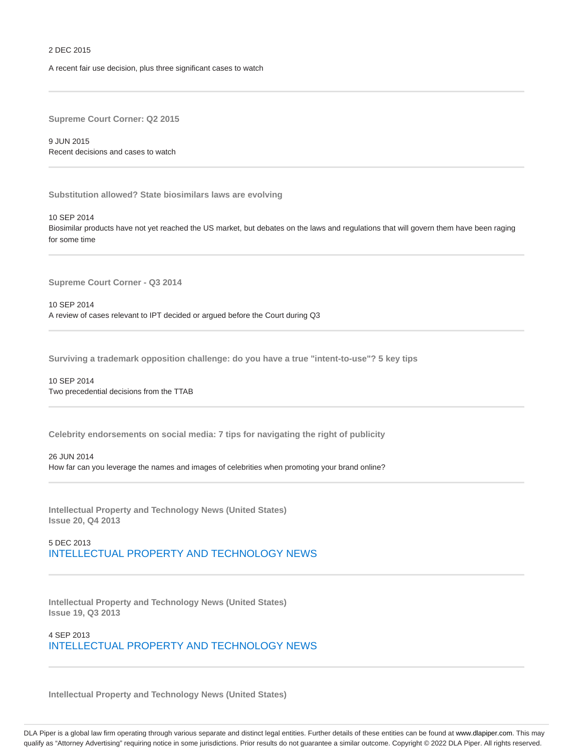#### 2 DEC 2015

A recent fair use decision, plus three significant cases to watch

**Supreme Court Corner: Q2 2015**

9 JUN 2015 Recent decisions and cases to watch

**Substitution allowed? State biosimilars laws are evolving**

10 SEP 2014 Biosimilar products have not yet reached the US market, but debates on the laws and regulations that will govern them have been raging for some time

**Supreme Court Corner - Q3 2014**

10 SEP 2014 A review of cases relevant to IPT decided or argued before the Court during Q3

**Surviving a trademark opposition challenge: do you have a true "intent-to-use"? 5 key tips**

10 SEP 2014 Two precedential decisions from the TTAB

**Celebrity endorsements on social media: 7 tips for navigating the right of publicity**

26 JUN 2014

How far can you leverage the names and images of celebrities when promoting your brand online?

**Intellectual Property and Technology News (United States) Issue 20, Q4 2013**

5 DEC 2013 INTELLECTUAL PROPERTY AND TECHNOLOGY NEWS

**Intellectual Property and Technology News (United States) Issue 19, Q3 2013**

4 SEP 2013 INTELLECTUAL PROPERTY AND TECHNOLOGY NEWS

**Intellectual Property and Technology News (United States)**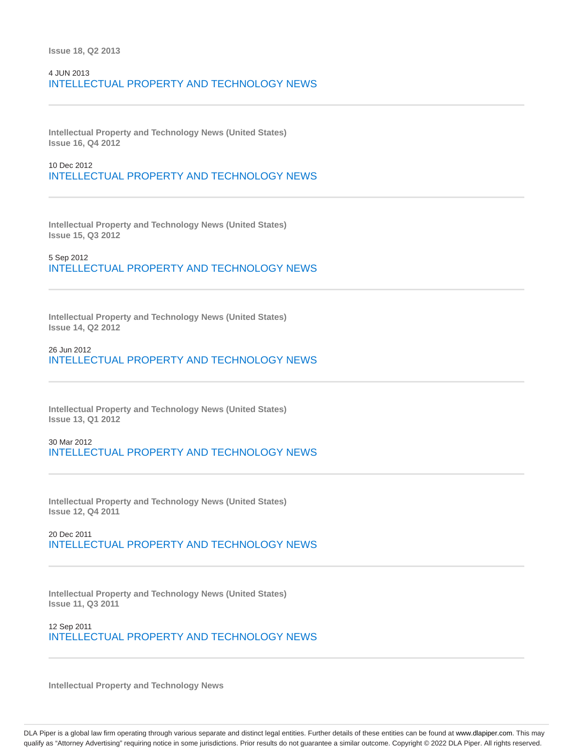# 4 JUN 2013 INTELLECTUAL PROPERTY AND TECHNOLOGY NEWS

**Intellectual Property and Technology News (United States) Issue 16, Q4 2012**

10 Dec 2012 INTELLECTUAL PROPERTY AND TECHNOLOGY NEWS

**Intellectual Property and Technology News (United States) Issue 15, Q3 2012**

5 Sep 2012 INTELLECTUAL PROPERTY AND TECHNOLOGY NEWS

**Intellectual Property and Technology News (United States) Issue 14, Q2 2012**

26 Jun 2012 INTELLECTUAL PROPERTY AND TECHNOLOGY NEWS

**Intellectual Property and Technology News (United States) Issue 13, Q1 2012**

30 Mar 2012 INTELLECTUAL PROPERTY AND TECHNOLOGY NEWS

**Intellectual Property and Technology News (United States) Issue 12, Q4 2011**

20 Dec 2011 INTELLECTUAL PROPERTY AND TECHNOLOGY NEWS

**Intellectual Property and Technology News (United States) Issue 11, Q3 2011**

12 Sep 2011 INTELLECTUAL PROPERTY AND TECHNOLOGY NEWS

**Intellectual Property and Technology News**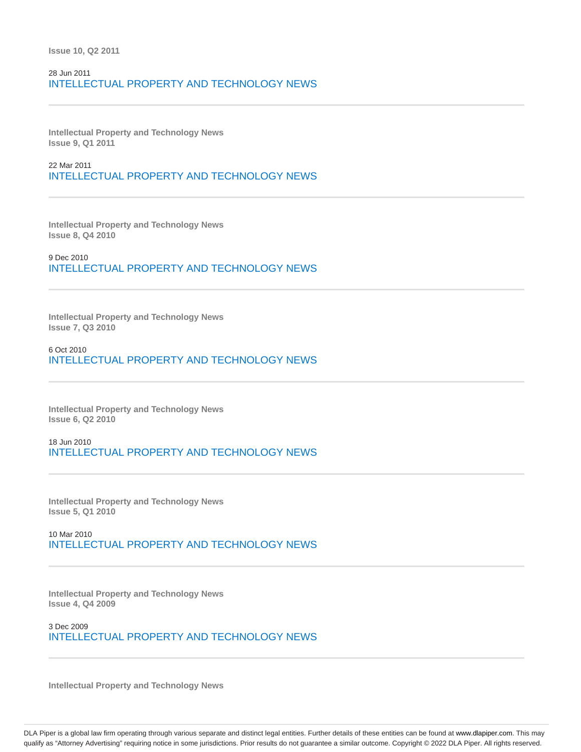**Issue 10, Q2 2011**

# 28 Jun 2011 INTELLECTUAL PROPERTY AND TECHNOLOGY NEWS

**Intellectual Property and Technology News Issue 9, Q1 2011**

22 Mar 2011 INTELLECTUAL PROPERTY AND TECHNOLOGY NEWS

**Intellectual Property and Technology News Issue 8, Q4 2010**

9 Dec 2010 INTELLECTUAL PROPERTY AND TECHNOLOGY NEWS

**Intellectual Property and Technology News Issue 7, Q3 2010**

6 Oct 2010 INTELLECTUAL PROPERTY AND TECHNOLOGY NEWS

**Intellectual Property and Technology News Issue 6, Q2 2010**

18 Jun 2010 INTELLECTUAL PROPERTY AND TECHNOLOGY NEWS

**Intellectual Property and Technology News Issue 5, Q1 2010**

10 Mar 2010 INTELLECTUAL PROPERTY AND TECHNOLOGY NEWS

**Intellectual Property and Technology News Issue 4, Q4 2009**

3 Dec 2009 INTELLECTUAL PROPERTY AND TECHNOLOGY NEWS

**Intellectual Property and Technology News**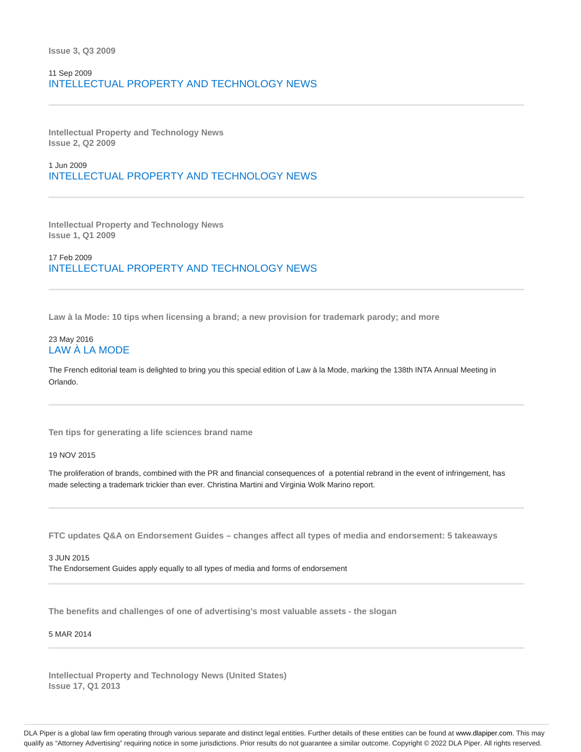### 11 Sep 2009 INTELLECTUAL PROPERTY AND TECHNOLOGY NEWS

**Intellectual Property and Technology News Issue 2, Q2 2009**

1 Jun 2009 INTELLECTUAL PROPERTY AND TECHNOLOGY NEWS

**Intellectual Property and Technology News Issue 1, Q1 2009**

17 Feb 2009 INTELLECTUAL PROPERTY AND TECHNOLOGY NEWS

**Law à la Mode: 10 tips when licensing a brand; a new provision for trademark parody; and more**

### 23 May 2016 LAW À LA MODE

The French editorial team is delighted to bring you this special edition of Law à la Mode, marking the 138th INTA Annual Meeting in Orlando.

**Ten tips for generating a life sciences brand name**

19 NOV 2015

The proliferation of brands, combined with the PR and financial consequences of a potential rebrand in the event of infringement, has made selecting a trademark trickier than ever. Christina Martini and Virginia Wolk Marino report.

**FTC updates Q&A on Endorsement Guides – changes affect all types of media and endorsement: 5 takeaways**

3 JUN 2015 The Endorsement Guides apply equally to all types of media and forms of endorsement

**The benefits and challenges of one of advertising's most valuable assets - the slogan**

#### 5 MAR 2014

**Intellectual Property and Technology News (United States) Issue 17, Q1 2013**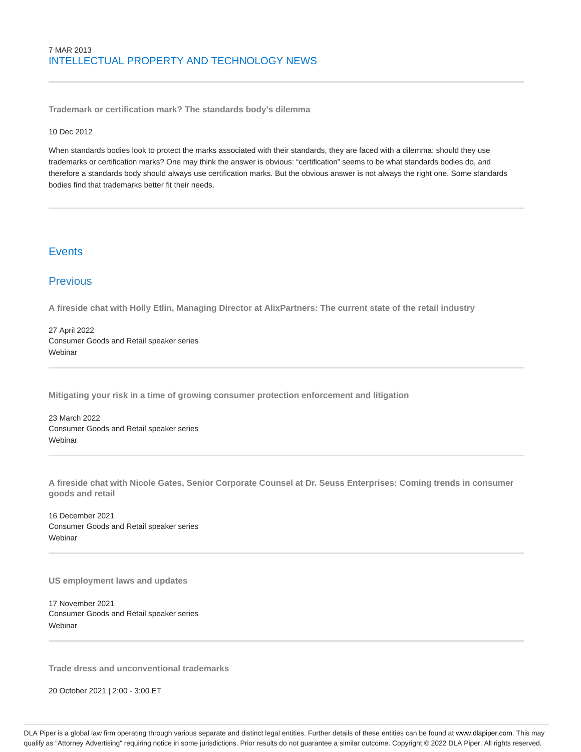**Trademark or certification mark? The standards body's dilemma**

### 10 Dec 2012

When standards bodies look to protect the marks associated with their standards, they are faced with a dilemma: should they use trademarks or certification marks? One may think the answer is obvious: "certification" seems to be what standards bodies do, and therefore a standards body should always use certification marks. But the obvious answer is not always the right one. Some standards bodies find that trademarks better fit their needs.

# **Events**

# **Previous**

**A fireside chat with Holly Etlin, Managing Director at AlixPartners: The current state of the retail industry**

27 April 2022 Consumer Goods and Retail speaker series **Webinar** 

**Mitigating your risk in a time of growing consumer protection enforcement and litigation**

23 March 2022 Consumer Goods and Retail speaker series **Webinar** 

**A fireside chat with Nicole Gates, Senior Corporate Counsel at Dr. Seuss Enterprises: Coming trends in consumer goods and retail**

16 December 2021 Consumer Goods and Retail speaker series Webinar

**US employment laws and updates**

17 November 2021 Consumer Goods and Retail speaker series **Webinar** 

**Trade dress and unconventional trademarks**

20 October 2021 | 2:00 - 3:00 ET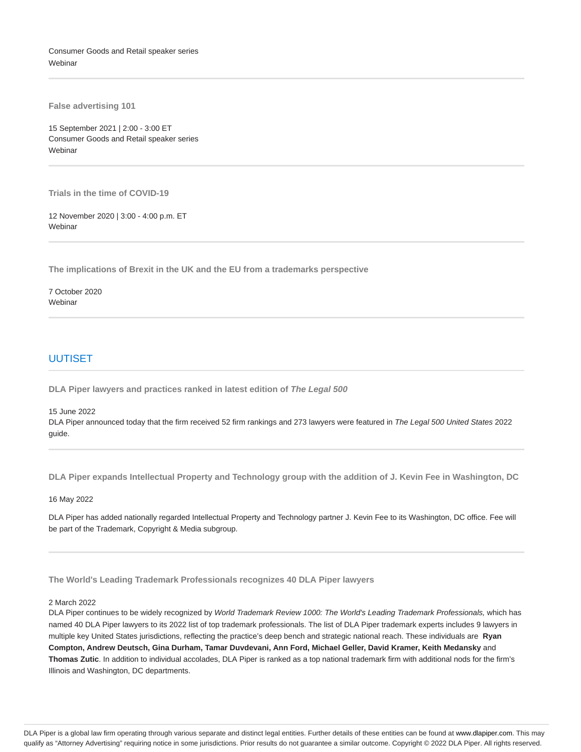Consumer Goods and Retail speaker series **Webinar** 

**False advertising 101**

15 September 2021 | 2:00 - 3:00 ET Consumer Goods and Retail speaker series **Webinar** 

**Trials in the time of COVID-19**

12 November 2020 | 3:00 - 4:00 p.m. ET **Webinar** 

**The implications of Brexit in the UK and the EU from a trademarks perspective**

7 October 2020 Webinar

### UUTISET

**DLA Piper lawyers and practices ranked in latest edition of The Legal 500**

15 June 2022

DLA Piper announced today that the firm received 52 firm rankings and 273 lawyers were featured in The Legal 500 United States 2022 guide.

**DLA Piper expands Intellectual Property and Technology group with the addition of J. Kevin Fee in Washington, DC**

16 May 2022

DLA Piper has added nationally regarded Intellectual Property and Technology partner J. Kevin Fee to its Washington, DC office. Fee will be part of the Trademark, Copyright & Media subgroup.

**The World's Leading Trademark Professionals recognizes 40 DLA Piper lawyers**

### 2 March 2022

DLA Piper continues to be widely recognized by World Trademark Review 1000: The World's Leading Trademark Professionals, which has named 40 DLA Piper lawyers to its 2022 list of top trademark professionals. The list of DLA Piper trademark experts includes 9 lawyers in multiple key United States jurisdictions, reflecting the practice's deep bench and strategic national reach. These individuals are **Ryan Compton, Andrew Deutsch, Gina Durham, Tamar Duvdevani, Ann Ford, Michael Geller, David Kramer, Keith Medansky** and **Thomas Zutic**. In addition to individual accolades, DLA Piper is ranked as a top national trademark firm with additional nods for the firm's Illinois and Washington, DC departments.